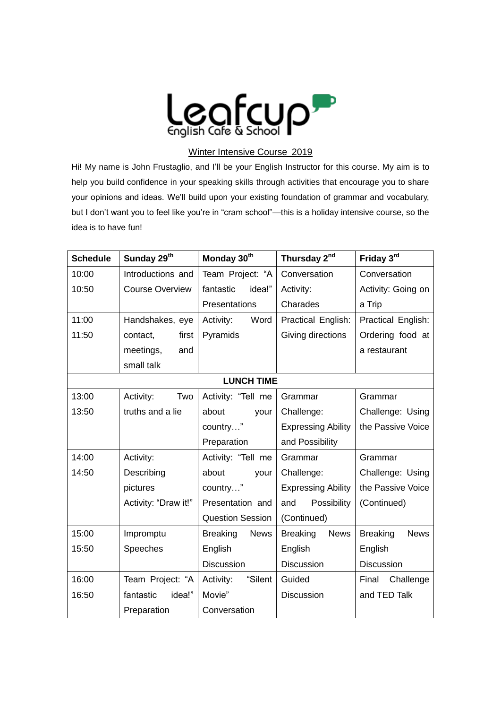

## Winter Intensive Course 2019

Hi! My name is John Frustaglio, and I'll be your English Instructor for this course. My aim is to help you build confidence in your speaking skills through activities that encourage you to share your opinions and ideas. We'll build upon your existing foundation of grammar and vocabulary, but I don't want you to feel like you're in "cram school"—this is a holiday intensive course, so the idea is to have fun!

| <b>Schedule</b>   | Sunday 29 <sup>th</sup> | Monday 30 <sup>th</sup>        | Thursday 2 <sup>nd</sup>       | Friday 3rd                     |
|-------------------|-------------------------|--------------------------------|--------------------------------|--------------------------------|
| 10:00             | Introductions and       | Team Project: "A               | Conversation                   | Conversation                   |
| 10:50             | <b>Course Overview</b>  | fantastic<br>idea!"            | Activity:                      | Activity: Going on             |
|                   |                         | Presentations                  | Charades                       | a Trip                         |
| 11:00             | Handshakes, eye         | Activity:<br>Word              | Practical English:             | Practical English:             |
| 11:50             | contact,<br>first       | Pyramids                       | Giving directions              | Ordering food at               |
|                   | meetings,<br>and        |                                |                                | a restaurant                   |
|                   | small talk              |                                |                                |                                |
| <b>LUNCH TIME</b> |                         |                                |                                |                                |
| 13:00             | Activity:<br>Two        | Activity: "Tell me             | Grammar                        | Grammar                        |
| 13:50             | truths and a lie        | about<br>your                  | Challenge:                     | Challenge: Using               |
|                   |                         | country"                       | <b>Expressing Ability</b>      | the Passive Voice              |
|                   |                         | Preparation                    | and Possibility                |                                |
| 14:00             | Activity:               | Activity: "Tell me             | Grammar                        | Grammar                        |
| 14:50             | Describing              | about<br>your                  | Challenge:                     | Challenge: Using               |
|                   | pictures                | country"                       | <b>Expressing Ability</b>      | the Passive Voice              |
|                   | Activity: "Draw it!"    | Presentation and               | Possibility<br>and             | (Continued)                    |
|                   |                         | <b>Question Session</b>        | (Continued)                    |                                |
| 15:00             | Impromptu               | <b>Breaking</b><br><b>News</b> | <b>Breaking</b><br><b>News</b> | <b>Breaking</b><br><b>News</b> |
| 15:50             | Speeches                | English                        | English                        | English                        |
|                   |                         | <b>Discussion</b>              | Discussion                     | Discussion                     |
| 16:00             | Team Project: "A        | "Silent<br>Activity:           | Guided                         | Challenge<br>Final             |
| 16:50             | fantastic<br>idea!"     | Movie"                         | Discussion                     | and TED Talk                   |
|                   | Preparation             | Conversation                   |                                |                                |